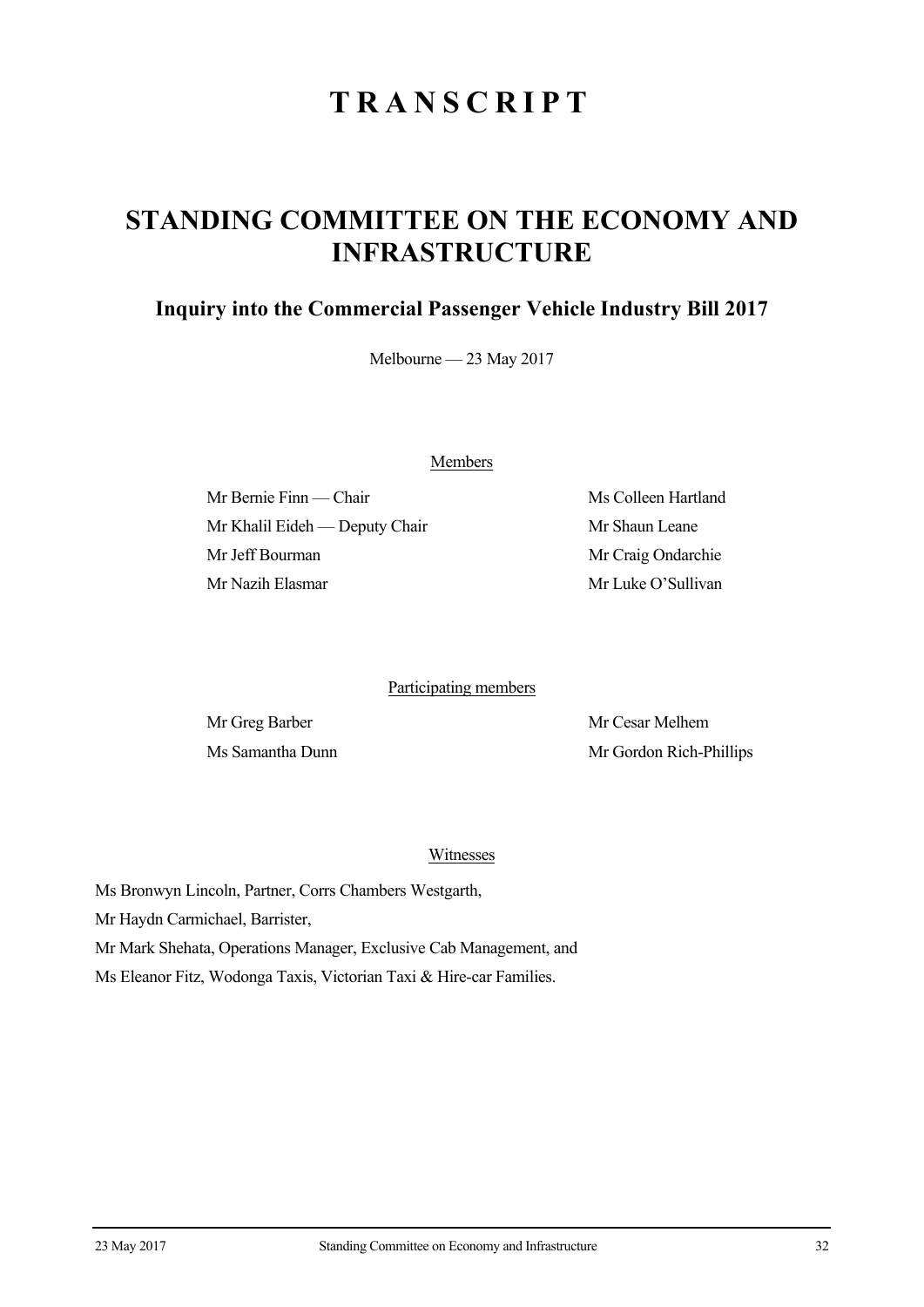# **TRANSCRIPT**

## **STANDING COMMITTEE ON THE ECONOMY AND INFRASTRUCTURE**

### **Inquiry into the Commercial Passenger Vehicle Industry Bill 2017**

Melbourne — 23 May 2017

Members

Mr Bernie Finn — Chair Ms Colleen Hartland Mr Khalil Eideh — Deputy Chair Mr Shaun Leane Mr Jeff Bourman Mr Craig Ondarchie Mr Nazih Elasmar Mr Luke O'Sullivan

#### Participating members

Mr Greg Barber Mr Cesar Melhem Ms Samantha Dunn Mr Gordon Rich-Phillips

#### Witnesses

Ms Bronwyn Lincoln, Partner, Corrs Chambers Westgarth,

Mr Haydn Carmichael, Barrister,

Mr Mark Shehata, Operations Manager, Exclusive Cab Management, and

Ms Eleanor Fitz, Wodonga Taxis, Victorian Taxi & Hire-car Families.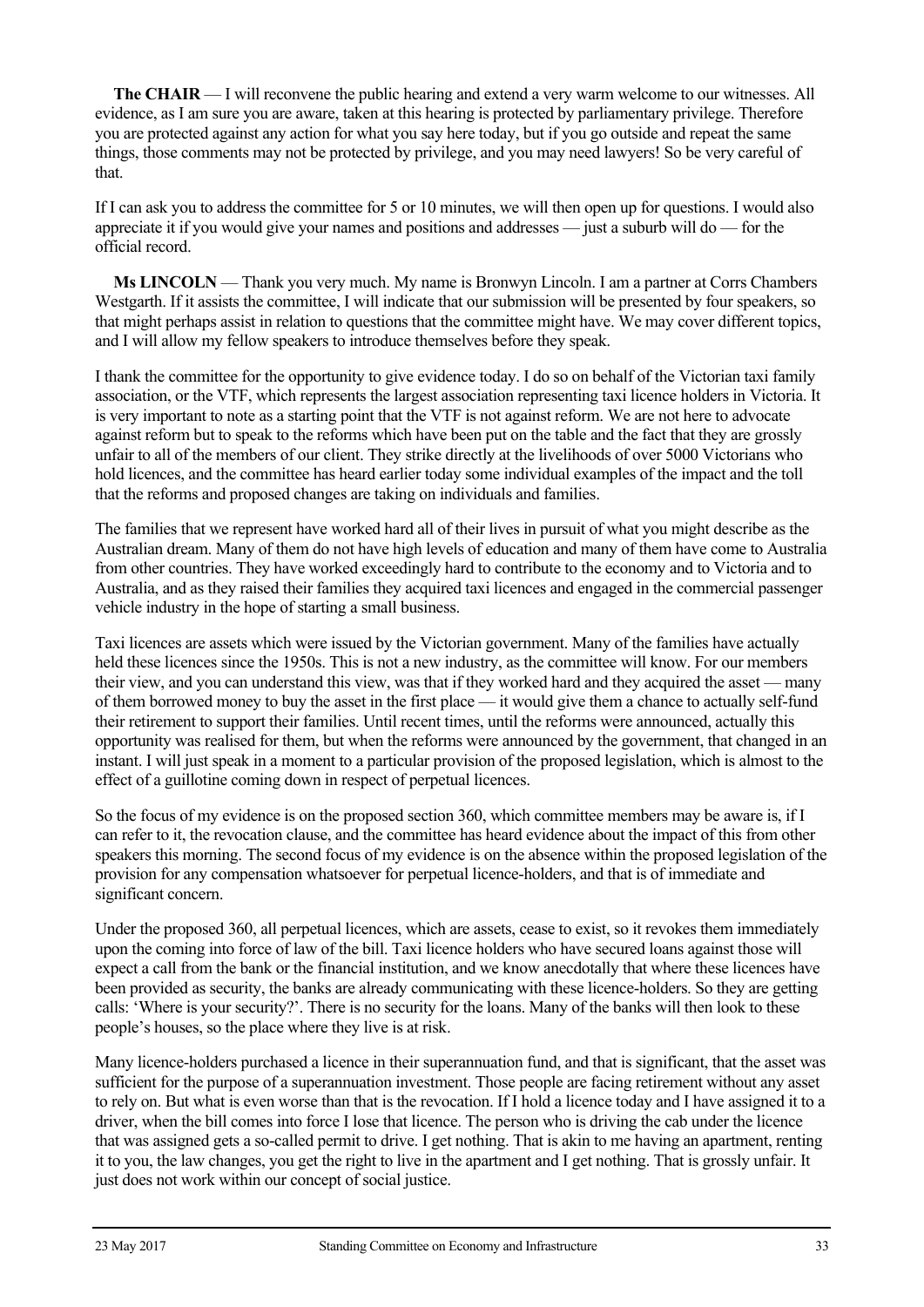**The CHAIR** — I will reconvene the public hearing and extend a very warm welcome to our witnesses. All evidence, as I am sure you are aware, taken at this hearing is protected by parliamentary privilege. Therefore you are protected against any action for what you say here today, but if you go outside and repeat the same things, those comments may not be protected by privilege, and you may need lawyers! So be very careful of that.

If I can ask you to address the committee for 5 or 10 minutes, we will then open up for questions. I would also appreciate it if you would give your names and positions and addresses — just a suburb will do — for the official record.

**Ms LINCOLN** — Thank you very much. My name is Bronwyn Lincoln. I am a partner at Corrs Chambers Westgarth. If it assists the committee, I will indicate that our submission will be presented by four speakers, so that might perhaps assist in relation to questions that the committee might have. We may cover different topics, and I will allow my fellow speakers to introduce themselves before they speak.

I thank the committee for the opportunity to give evidence today. I do so on behalf of the Victorian taxi family association, or the VTF, which represents the largest association representing taxi licence holders in Victoria. It is very important to note as a starting point that the VTF is not against reform. We are not here to advocate against reform but to speak to the reforms which have been put on the table and the fact that they are grossly unfair to all of the members of our client. They strike directly at the livelihoods of over 5000 Victorians who hold licences, and the committee has heard earlier today some individual examples of the impact and the toll that the reforms and proposed changes are taking on individuals and families.

The families that we represent have worked hard all of their lives in pursuit of what you might describe as the Australian dream. Many of them do not have high levels of education and many of them have come to Australia from other countries. They have worked exceedingly hard to contribute to the economy and to Victoria and to Australia, and as they raised their families they acquired taxi licences and engaged in the commercial passenger vehicle industry in the hope of starting a small business.

Taxi licences are assets which were issued by the Victorian government. Many of the families have actually held these licences since the 1950s. This is not a new industry, as the committee will know. For our members their view, and you can understand this view, was that if they worked hard and they acquired the asset — many of them borrowed money to buy the asset in the first place — it would give them a chance to actually self-fund their retirement to support their families. Until recent times, until the reforms were announced, actually this opportunity was realised for them, but when the reforms were announced by the government, that changed in an instant. I will just speak in a moment to a particular provision of the proposed legislation, which is almost to the effect of a guillotine coming down in respect of perpetual licences.

So the focus of my evidence is on the proposed section 360, which committee members may be aware is, if I can refer to it, the revocation clause, and the committee has heard evidence about the impact of this from other speakers this morning. The second focus of my evidence is on the absence within the proposed legislation of the provision for any compensation whatsoever for perpetual licence-holders, and that is of immediate and significant concern.

Under the proposed 360, all perpetual licences, which are assets, cease to exist, so it revokes them immediately upon the coming into force of law of the bill. Taxi licence holders who have secured loans against those will expect a call from the bank or the financial institution, and we know anecdotally that where these licences have been provided as security, the banks are already communicating with these licence-holders. So they are getting calls: 'Where is your security?'. There is no security for the loans. Many of the banks will then look to these people's houses, so the place where they live is at risk.

Many licence-holders purchased a licence in their superannuation fund, and that is significant, that the asset was sufficient for the purpose of a superannuation investment. Those people are facing retirement without any asset to rely on. But what is even worse than that is the revocation. If I hold a licence today and I have assigned it to a driver, when the bill comes into force I lose that licence. The person who is driving the cab under the licence that was assigned gets a so-called permit to drive. I get nothing. That is akin to me having an apartment, renting it to you, the law changes, you get the right to live in the apartment and I get nothing. That is grossly unfair. It just does not work within our concept of social justice.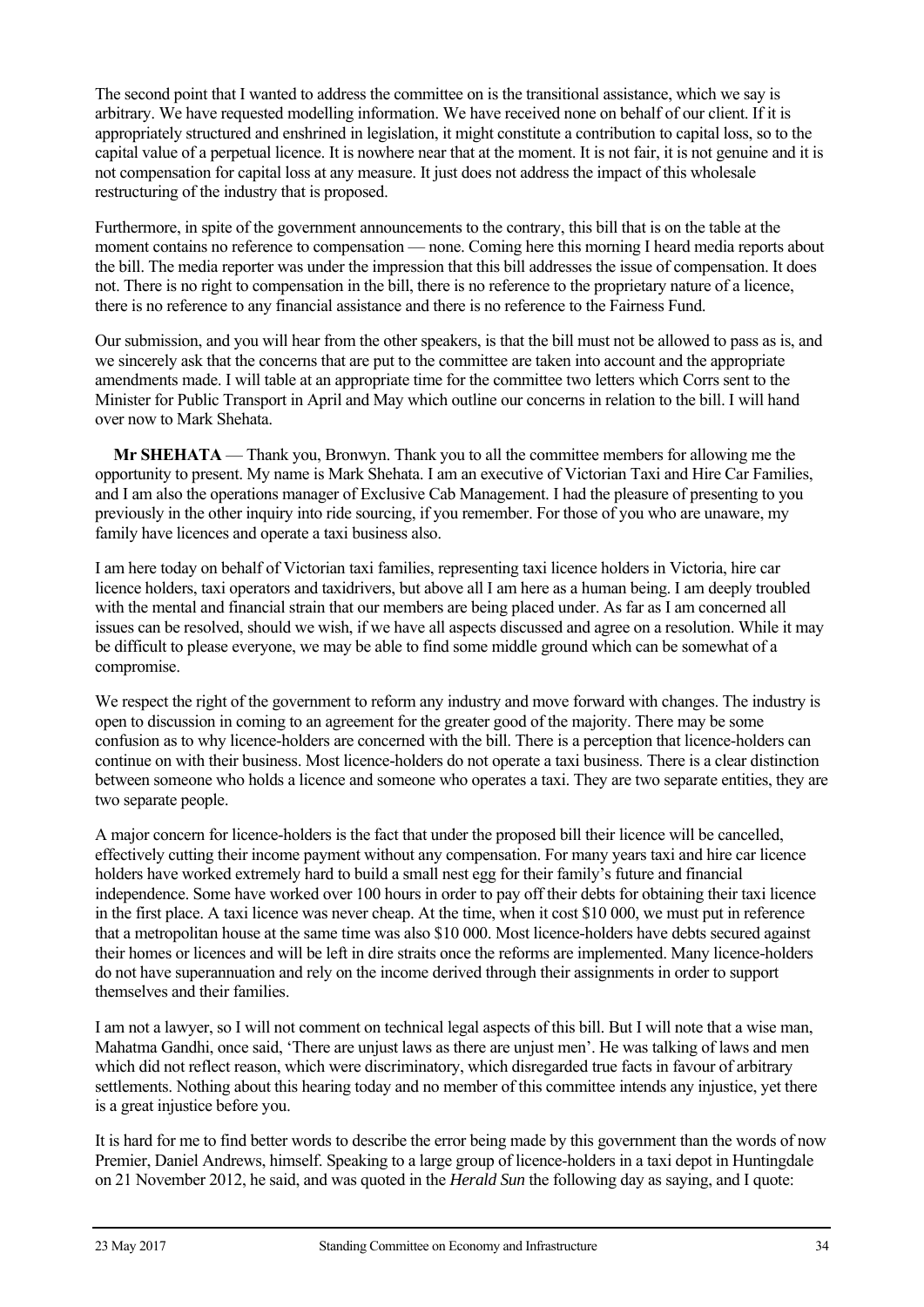The second point that I wanted to address the committee on is the transitional assistance, which we say is arbitrary. We have requested modelling information. We have received none on behalf of our client. If it is appropriately structured and enshrined in legislation, it might constitute a contribution to capital loss, so to the capital value of a perpetual licence. It is nowhere near that at the moment. It is not fair, it is not genuine and it is not compensation for capital loss at any measure. It just does not address the impact of this wholesale restructuring of the industry that is proposed.

Furthermore, in spite of the government announcements to the contrary, this bill that is on the table at the moment contains no reference to compensation — none. Coming here this morning I heard media reports about the bill. The media reporter was under the impression that this bill addresses the issue of compensation. It does not. There is no right to compensation in the bill, there is no reference to the proprietary nature of a licence, there is no reference to any financial assistance and there is no reference to the Fairness Fund.

Our submission, and you will hear from the other speakers, is that the bill must not be allowed to pass as is, and we sincerely ask that the concerns that are put to the committee are taken into account and the appropriate amendments made. I will table at an appropriate time for the committee two letters which Corrs sent to the Minister for Public Transport in April and May which outline our concerns in relation to the bill. I will hand over now to Mark Shehata.

**Mr SHEHATA** — Thank you, Bronwyn. Thank you to all the committee members for allowing me the opportunity to present. My name is Mark Shehata. I am an executive of Victorian Taxi and Hire Car Families, and I am also the operations manager of Exclusive Cab Management. I had the pleasure of presenting to you previously in the other inquiry into ride sourcing, if you remember. For those of you who are unaware, my family have licences and operate a taxi business also.

I am here today on behalf of Victorian taxi families, representing taxi licence holders in Victoria, hire car licence holders, taxi operators and taxidrivers, but above all I am here as a human being. I am deeply troubled with the mental and financial strain that our members are being placed under. As far as I am concerned all issues can be resolved, should we wish, if we have all aspects discussed and agree on a resolution. While it may be difficult to please everyone, we may be able to find some middle ground which can be somewhat of a compromise.

We respect the right of the government to reform any industry and move forward with changes. The industry is open to discussion in coming to an agreement for the greater good of the majority. There may be some confusion as to why licence-holders are concerned with the bill. There is a perception that licence-holders can continue on with their business. Most licence-holders do not operate a taxi business. There is a clear distinction between someone who holds a licence and someone who operates a taxi. They are two separate entities, they are two separate people.

A major concern for licence-holders is the fact that under the proposed bill their licence will be cancelled, effectively cutting their income payment without any compensation. For many years taxi and hire car licence holders have worked extremely hard to build a small nest egg for their family's future and financial independence. Some have worked over 100 hours in order to pay off their debts for obtaining their taxi licence in the first place. A taxi licence was never cheap. At the time, when it cost \$10 000, we must put in reference that a metropolitan house at the same time was also \$10 000. Most licence-holders have debts secured against their homes or licences and will be left in dire straits once the reforms are implemented. Many licence-holders do not have superannuation and rely on the income derived through their assignments in order to support themselves and their families.

I am not a lawyer, so I will not comment on technical legal aspects of this bill. But I will note that a wise man, Mahatma Gandhi, once said, 'There are unjust laws as there are unjust men'. He was talking of laws and men which did not reflect reason, which were discriminatory, which disregarded true facts in favour of arbitrary settlements. Nothing about this hearing today and no member of this committee intends any injustice, yet there is a great injustice before you.

It is hard for me to find better words to describe the error being made by this government than the words of now Premier, Daniel Andrews, himself. Speaking to a large group of licence-holders in a taxi depot in Huntingdale on 21 November 2012, he said, and was quoted in the *Herald Sun* the following day as saying, and I quote: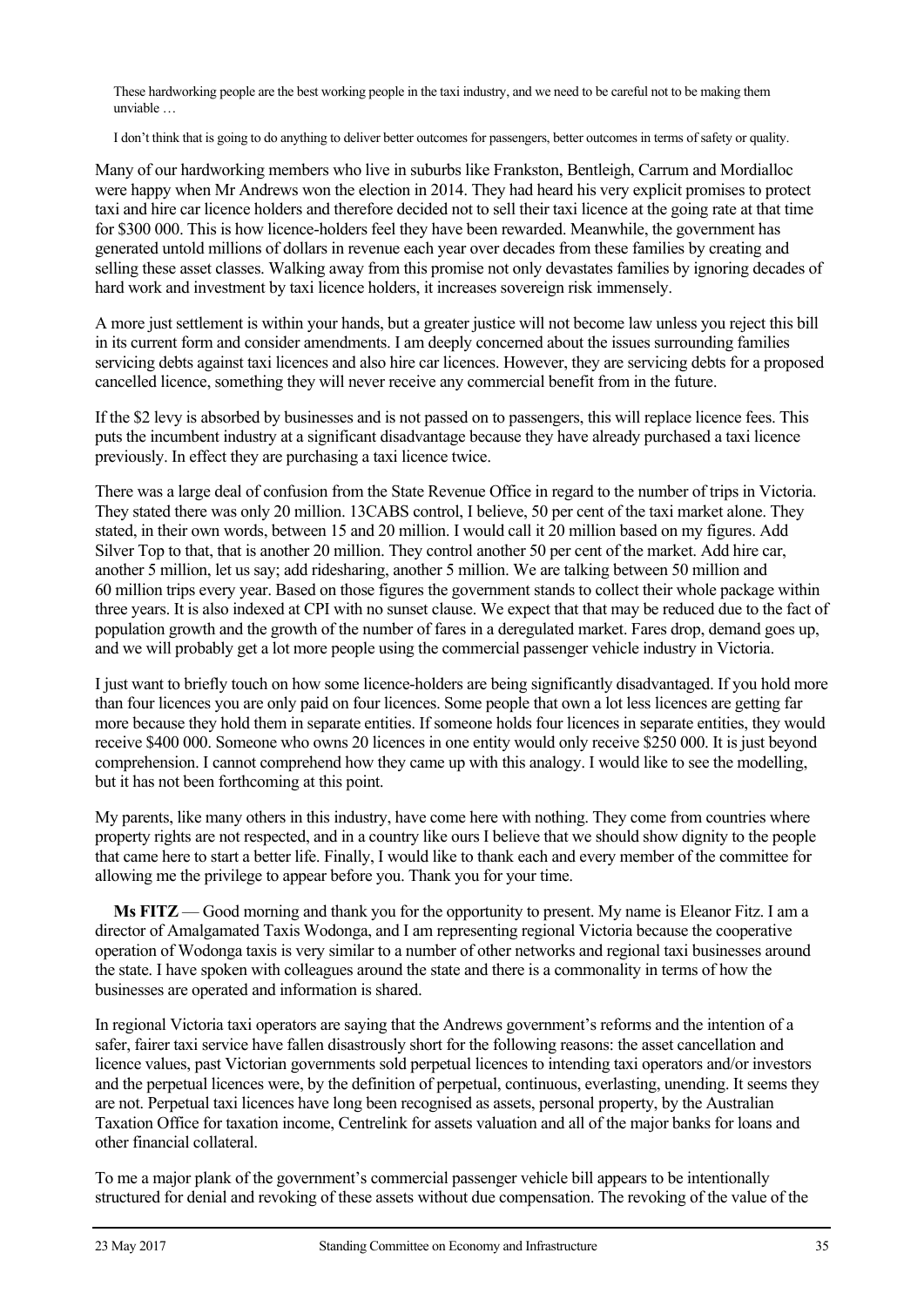These hardworking people are the best working people in the taxi industry, and we need to be careful not to be making them unviable …

I don't think that is going to do anything to deliver better outcomes for passengers, better outcomes in terms of safety or quality.

Many of our hardworking members who live in suburbs like Frankston, Bentleigh, Carrum and Mordialloc were happy when Mr Andrews won the election in 2014. They had heard his very explicit promises to protect taxi and hire car licence holders and therefore decided not to sell their taxi licence at the going rate at that time for \$300 000. This is how licence-holders feel they have been rewarded. Meanwhile, the government has generated untold millions of dollars in revenue each year over decades from these families by creating and selling these asset classes. Walking away from this promise not only devastates families by ignoring decades of hard work and investment by taxi licence holders, it increases sovereign risk immensely.

A more just settlement is within your hands, but a greater justice will not become law unless you reject this bill in its current form and consider amendments. I am deeply concerned about the issues surrounding families servicing debts against taxi licences and also hire car licences. However, they are servicing debts for a proposed cancelled licence, something they will never receive any commercial benefit from in the future.

If the \$2 levy is absorbed by businesses and is not passed on to passengers, this will replace licence fees. This puts the incumbent industry at a significant disadvantage because they have already purchased a taxi licence previously. In effect they are purchasing a taxi licence twice.

There was a large deal of confusion from the State Revenue Office in regard to the number of trips in Victoria. They stated there was only 20 million. 13CABS control, I believe, 50 per cent of the taxi market alone. They stated, in their own words, between 15 and 20 million. I would call it 20 million based on my figures. Add Silver Top to that, that is another 20 million. They control another 50 per cent of the market. Add hire car, another 5 million, let us say; add ridesharing, another 5 million. We are talking between 50 million and 60 million trips every year. Based on those figures the government stands to collect their whole package within three years. It is also indexed at CPI with no sunset clause. We expect that that may be reduced due to the fact of population growth and the growth of the number of fares in a deregulated market. Fares drop, demand goes up, and we will probably get a lot more people using the commercial passenger vehicle industry in Victoria.

I just want to briefly touch on how some licence-holders are being significantly disadvantaged. If you hold more than four licences you are only paid on four licences. Some people that own a lot less licences are getting far more because they hold them in separate entities. If someone holds four licences in separate entities, they would receive \$400 000. Someone who owns 20 licences in one entity would only receive \$250 000. It is just beyond comprehension. I cannot comprehend how they came up with this analogy. I would like to see the modelling, but it has not been forthcoming at this point.

My parents, like many others in this industry, have come here with nothing. They come from countries where property rights are not respected, and in a country like ours I believe that we should show dignity to the people that came here to start a better life. Finally, I would like to thank each and every member of the committee for allowing me the privilege to appear before you. Thank you for your time.

**Ms FITZ** — Good morning and thank you for the opportunity to present. My name is Eleanor Fitz. I am a director of Amalgamated Taxis Wodonga, and I am representing regional Victoria because the cooperative operation of Wodonga taxis is very similar to a number of other networks and regional taxi businesses around the state. I have spoken with colleagues around the state and there is a commonality in terms of how the businesses are operated and information is shared.

In regional Victoria taxi operators are saying that the Andrews government's reforms and the intention of a safer, fairer taxi service have fallen disastrously short for the following reasons: the asset cancellation and licence values, past Victorian governments sold perpetual licences to intending taxi operators and/or investors and the perpetual licences were, by the definition of perpetual, continuous, everlasting, unending. It seems they are not. Perpetual taxi licences have long been recognised as assets, personal property, by the Australian Taxation Office for taxation income, Centrelink for assets valuation and all of the major banks for loans and other financial collateral.

To me a major plank of the government's commercial passenger vehicle bill appears to be intentionally structured for denial and revoking of these assets without due compensation. The revoking of the value of the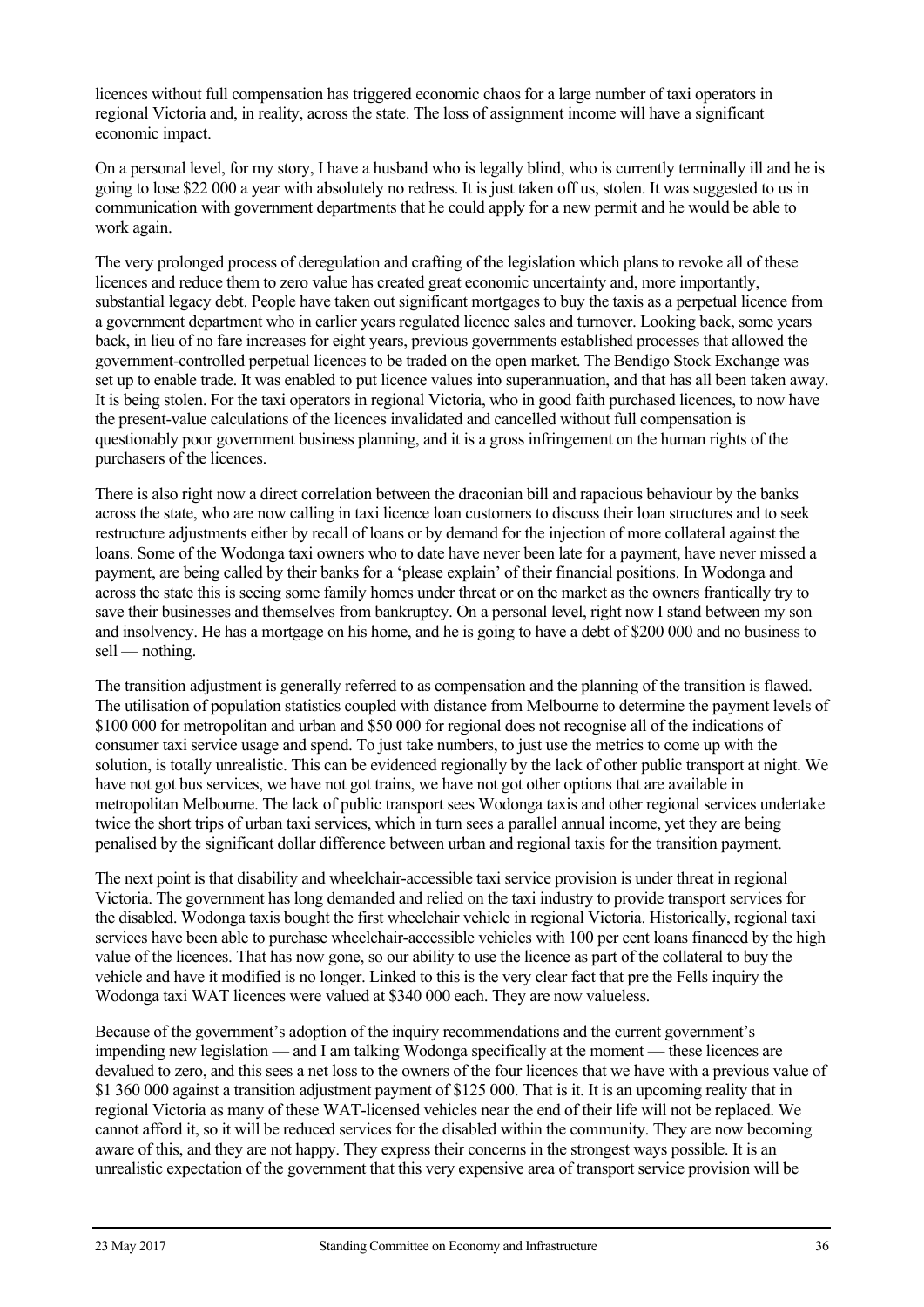licences without full compensation has triggered economic chaos for a large number of taxi operators in regional Victoria and, in reality, across the state. The loss of assignment income will have a significant economic impact.

On a personal level, for my story, I have a husband who is legally blind, who is currently terminally ill and he is going to lose \$22 000 a year with absolutely no redress. It is just taken off us, stolen. It was suggested to us in communication with government departments that he could apply for a new permit and he would be able to work again.

The very prolonged process of deregulation and crafting of the legislation which plans to revoke all of these licences and reduce them to zero value has created great economic uncertainty and, more importantly, substantial legacy debt. People have taken out significant mortgages to buy the taxis as a perpetual licence from a government department who in earlier years regulated licence sales and turnover. Looking back, some years back, in lieu of no fare increases for eight years, previous governments established processes that allowed the government-controlled perpetual licences to be traded on the open market. The Bendigo Stock Exchange was set up to enable trade. It was enabled to put licence values into superannuation, and that has all been taken away. It is being stolen. For the taxi operators in regional Victoria, who in good faith purchased licences, to now have the present-value calculations of the licences invalidated and cancelled without full compensation is questionably poor government business planning, and it is a gross infringement on the human rights of the purchasers of the licences.

There is also right now a direct correlation between the draconian bill and rapacious behaviour by the banks across the state, who are now calling in taxi licence loan customers to discuss their loan structures and to seek restructure adjustments either by recall of loans or by demand for the injection of more collateral against the loans. Some of the Wodonga taxi owners who to date have never been late for a payment, have never missed a payment, are being called by their banks for a 'please explain' of their financial positions. In Wodonga and across the state this is seeing some family homes under threat or on the market as the owners frantically try to save their businesses and themselves from bankruptcy. On a personal level, right now I stand between my son and insolvency. He has a mortgage on his home, and he is going to have a debt of \$200 000 and no business to sell — nothing.

The transition adjustment is generally referred to as compensation and the planning of the transition is flawed. The utilisation of population statistics coupled with distance from Melbourne to determine the payment levels of \$100 000 for metropolitan and urban and \$50 000 for regional does not recognise all of the indications of consumer taxi service usage and spend. To just take numbers, to just use the metrics to come up with the solution, is totally unrealistic. This can be evidenced regionally by the lack of other public transport at night. We have not got bus services, we have not got trains, we have not got other options that are available in metropolitan Melbourne. The lack of public transport sees Wodonga taxis and other regional services undertake twice the short trips of urban taxi services, which in turn sees a parallel annual income, yet they are being penalised by the significant dollar difference between urban and regional taxis for the transition payment.

The next point is that disability and wheelchair-accessible taxi service provision is under threat in regional Victoria. The government has long demanded and relied on the taxi industry to provide transport services for the disabled. Wodonga taxis bought the first wheelchair vehicle in regional Victoria. Historically, regional taxi services have been able to purchase wheelchair-accessible vehicles with 100 per cent loans financed by the high value of the licences. That has now gone, so our ability to use the licence as part of the collateral to buy the vehicle and have it modified is no longer. Linked to this is the very clear fact that pre the Fells inquiry the Wodonga taxi WAT licences were valued at \$340 000 each. They are now valueless.

Because of the government's adoption of the inquiry recommendations and the current government's impending new legislation — and I am talking Wodonga specifically at the moment — these licences are devalued to zero, and this sees a net loss to the owners of the four licences that we have with a previous value of \$1 360 000 against a transition adjustment payment of \$125 000. That is it. It is an upcoming reality that in regional Victoria as many of these WAT-licensed vehicles near the end of their life will not be replaced. We cannot afford it, so it will be reduced services for the disabled within the community. They are now becoming aware of this, and they are not happy. They express their concerns in the strongest ways possible. It is an unrealistic expectation of the government that this very expensive area of transport service provision will be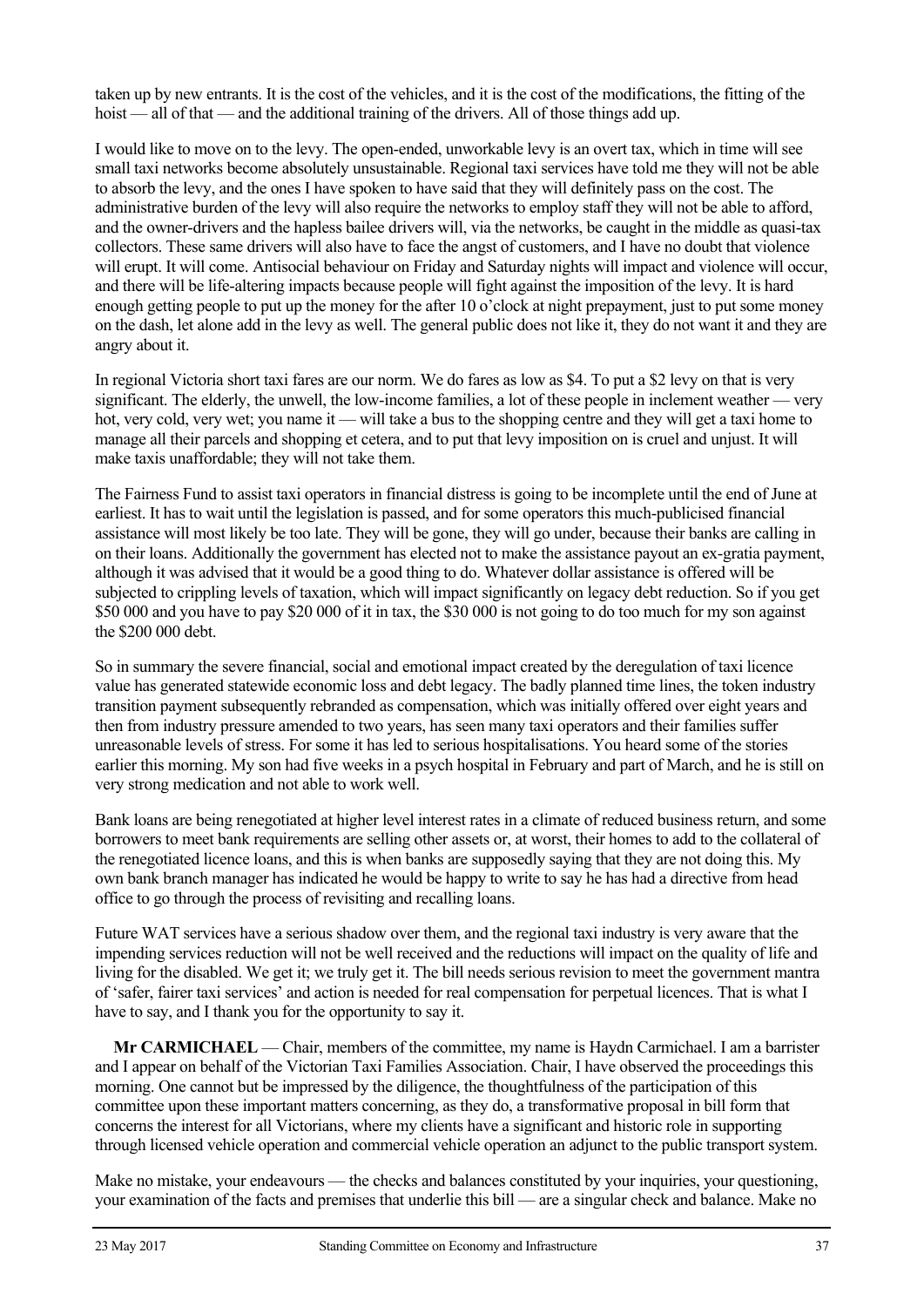taken up by new entrants. It is the cost of the vehicles, and it is the cost of the modifications, the fitting of the hoist — all of that — and the additional training of the drivers. All of those things add up.

I would like to move on to the levy. The open-ended, unworkable levy is an overt tax, which in time will see small taxi networks become absolutely unsustainable. Regional taxi services have told me they will not be able to absorb the levy, and the ones I have spoken to have said that they will definitely pass on the cost. The administrative burden of the levy will also require the networks to employ staff they will not be able to afford, and the owner-drivers and the hapless bailee drivers will, via the networks, be caught in the middle as quasi-tax collectors. These same drivers will also have to face the angst of customers, and I have no doubt that violence will erupt. It will come. Antisocial behaviour on Friday and Saturday nights will impact and violence will occur, and there will be life-altering impacts because people will fight against the imposition of the levy. It is hard enough getting people to put up the money for the after 10 o'clock at night prepayment, just to put some money on the dash, let alone add in the levy as well. The general public does not like it, they do not want it and they are angry about it.

In regional Victoria short taxi fares are our norm. We do fares as low as \$4. To put a \$2 levy on that is very significant. The elderly, the unwell, the low-income families, a lot of these people in inclement weather — very hot, very cold, very wet; you name it — will take a bus to the shopping centre and they will get a taxi home to manage all their parcels and shopping et cetera, and to put that levy imposition on is cruel and unjust. It will make taxis unaffordable; they will not take them.

The Fairness Fund to assist taxi operators in financial distress is going to be incomplete until the end of June at earliest. It has to wait until the legislation is passed, and for some operators this much-publicised financial assistance will most likely be too late. They will be gone, they will go under, because their banks are calling in on their loans. Additionally the government has elected not to make the assistance payout an ex-gratia payment, although it was advised that it would be a good thing to do. Whatever dollar assistance is offered will be subjected to crippling levels of taxation, which will impact significantly on legacy debt reduction. So if you get \$50 000 and you have to pay \$20 000 of it in tax, the \$30 000 is not going to do too much for my son against the \$200 000 debt.

So in summary the severe financial, social and emotional impact created by the deregulation of taxi licence value has generated statewide economic loss and debt legacy. The badly planned time lines, the token industry transition payment subsequently rebranded as compensation, which was initially offered over eight years and then from industry pressure amended to two years, has seen many taxi operators and their families suffer unreasonable levels of stress. For some it has led to serious hospitalisations. You heard some of the stories earlier this morning. My son had five weeks in a psych hospital in February and part of March, and he is still on very strong medication and not able to work well.

Bank loans are being renegotiated at higher level interest rates in a climate of reduced business return, and some borrowers to meet bank requirements are selling other assets or, at worst, their homes to add to the collateral of the renegotiated licence loans, and this is when banks are supposedly saying that they are not doing this. My own bank branch manager has indicated he would be happy to write to say he has had a directive from head office to go through the process of revisiting and recalling loans.

Future WAT services have a serious shadow over them, and the regional taxi industry is very aware that the impending services reduction will not be well received and the reductions will impact on the quality of life and living for the disabled. We get it; we truly get it. The bill needs serious revision to meet the government mantra of 'safer, fairer taxi services' and action is needed for real compensation for perpetual licences. That is what I have to say, and I thank you for the opportunity to say it.

**Mr CARMICHAEL** — Chair, members of the committee, my name is Haydn Carmichael. I am a barrister and I appear on behalf of the Victorian Taxi Families Association. Chair, I have observed the proceedings this morning. One cannot but be impressed by the diligence, the thoughtfulness of the participation of this committee upon these important matters concerning, as they do, a transformative proposal in bill form that concerns the interest for all Victorians, where my clients have a significant and historic role in supporting through licensed vehicle operation and commercial vehicle operation an adjunct to the public transport system.

Make no mistake, your endeavours — the checks and balances constituted by your inquiries, your questioning, your examination of the facts and premises that underlie this bill — are a singular check and balance. Make no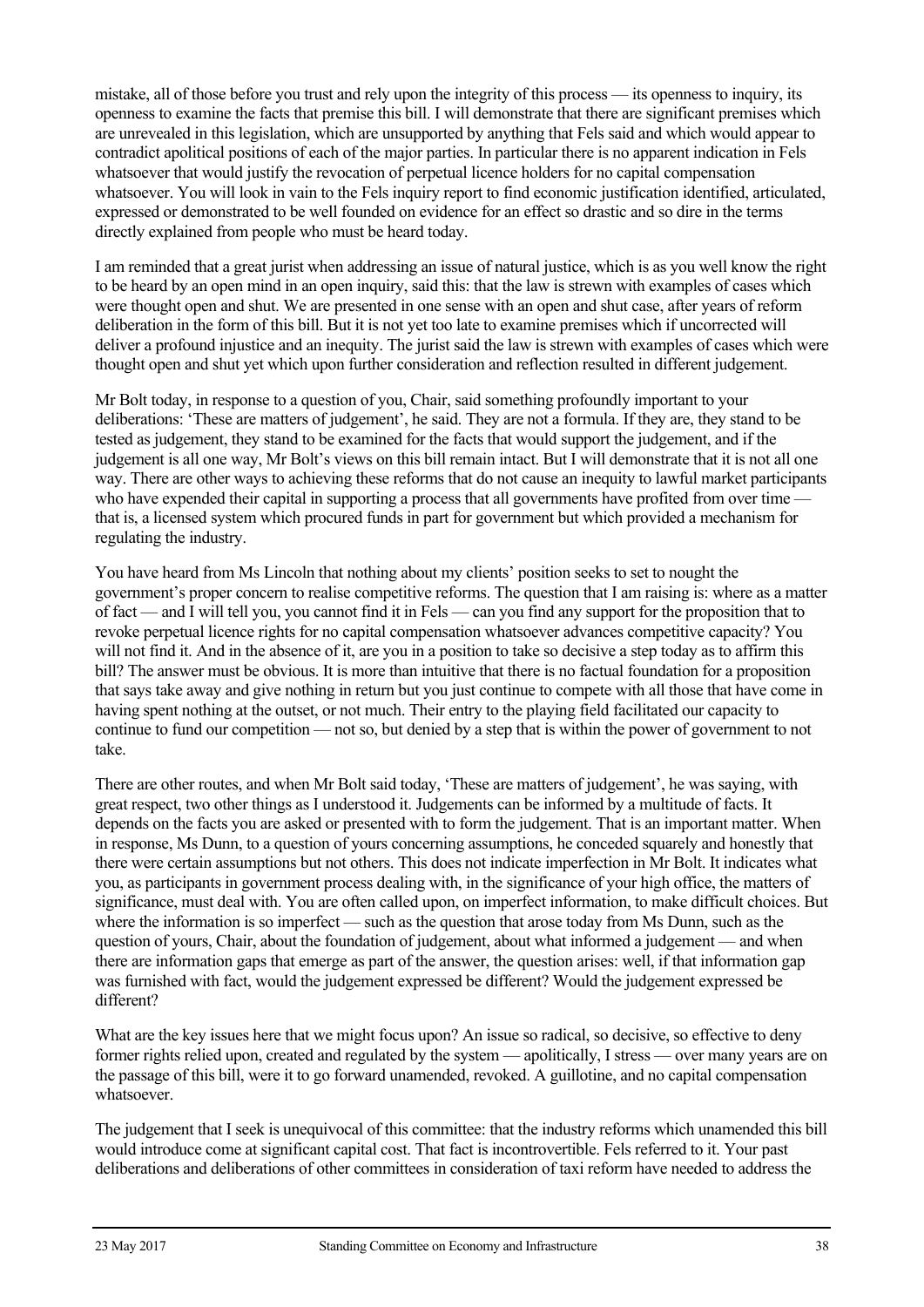mistake, all of those before you trust and rely upon the integrity of this process — its openness to inquiry, its openness to examine the facts that premise this bill. I will demonstrate that there are significant premises which are unrevealed in this legislation, which are unsupported by anything that Fels said and which would appear to contradict apolitical positions of each of the major parties. In particular there is no apparent indication in Fels whatsoever that would justify the revocation of perpetual licence holders for no capital compensation whatsoever. You will look in vain to the Fels inquiry report to find economic justification identified, articulated, expressed or demonstrated to be well founded on evidence for an effect so drastic and so dire in the terms directly explained from people who must be heard today.

I am reminded that a great jurist when addressing an issue of natural justice, which is as you well know the right to be heard by an open mind in an open inquiry, said this: that the law is strewn with examples of cases which were thought open and shut. We are presented in one sense with an open and shut case, after years of reform deliberation in the form of this bill. But it is not yet too late to examine premises which if uncorrected will deliver a profound injustice and an inequity. The jurist said the law is strewn with examples of cases which were thought open and shut yet which upon further consideration and reflection resulted in different judgement.

Mr Bolt today, in response to a question of you, Chair, said something profoundly important to your deliberations: 'These are matters of judgement', he said. They are not a formula. If they are, they stand to be tested as judgement, they stand to be examined for the facts that would support the judgement, and if the judgement is all one way, Mr Bolt's views on this bill remain intact. But I will demonstrate that it is not all one way. There are other ways to achieving these reforms that do not cause an inequity to lawful market participants who have expended their capital in supporting a process that all governments have profited from over time that is, a licensed system which procured funds in part for government but which provided a mechanism for regulating the industry.

You have heard from Ms Lincoln that nothing about my clients' position seeks to set to nought the government's proper concern to realise competitive reforms. The question that I am raising is: where as a matter of fact — and I will tell you, you cannot find it in Fels — can you find any support for the proposition that to revoke perpetual licence rights for no capital compensation whatsoever advances competitive capacity? You will not find it. And in the absence of it, are you in a position to take so decisive a step today as to affirm this bill? The answer must be obvious. It is more than intuitive that there is no factual foundation for a proposition that says take away and give nothing in return but you just continue to compete with all those that have come in having spent nothing at the outset, or not much. Their entry to the playing field facilitated our capacity to continue to fund our competition — not so, but denied by a step that is within the power of government to not take.

There are other routes, and when Mr Bolt said today, 'These are matters of judgement', he was saying, with great respect, two other things as I understood it. Judgements can be informed by a multitude of facts. It depends on the facts you are asked or presented with to form the judgement. That is an important matter. When in response, Ms Dunn, to a question of yours concerning assumptions, he conceded squarely and honestly that there were certain assumptions but not others. This does not indicate imperfection in Mr Bolt. It indicates what you, as participants in government process dealing with, in the significance of your high office, the matters of significance, must deal with. You are often called upon, on imperfect information, to make difficult choices. But where the information is so imperfect — such as the question that arose today from Ms Dunn, such as the question of yours, Chair, about the foundation of judgement, about what informed a judgement — and when there are information gaps that emerge as part of the answer, the question arises: well, if that information gap was furnished with fact, would the judgement expressed be different? Would the judgement expressed be different?

What are the key issues here that we might focus upon? An issue so radical, so decisive, so effective to deny former rights relied upon, created and regulated by the system — apolitically, I stress — over many years are on the passage of this bill, were it to go forward unamended, revoked. A guillotine, and no capital compensation whatsoever.

The judgement that I seek is unequivocal of this committee: that the industry reforms which unamended this bill would introduce come at significant capital cost. That fact is incontrovertible. Fels referred to it. Your past deliberations and deliberations of other committees in consideration of taxi reform have needed to address the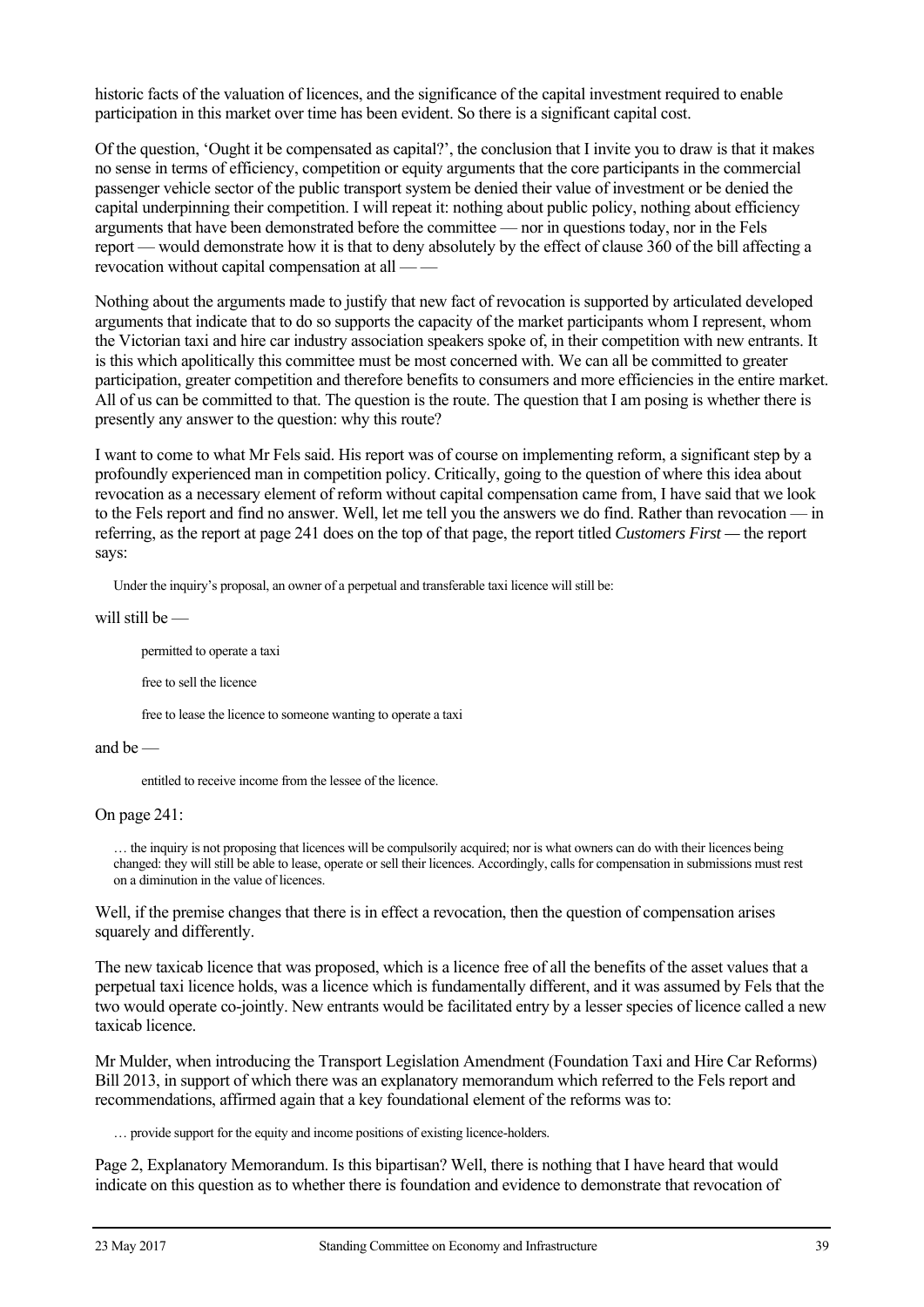historic facts of the valuation of licences, and the significance of the capital investment required to enable participation in this market over time has been evident. So there is a significant capital cost.

Of the question, 'Ought it be compensated as capital?', the conclusion that I invite you to draw is that it makes no sense in terms of efficiency, competition or equity arguments that the core participants in the commercial passenger vehicle sector of the public transport system be denied their value of investment or be denied the capital underpinning their competition. I will repeat it: nothing about public policy, nothing about efficiency arguments that have been demonstrated before the committee — nor in questions today, nor in the Fels report — would demonstrate how it is that to deny absolutely by the effect of clause 360 of the bill affecting a revocation without capital compensation at all — -

Nothing about the arguments made to justify that new fact of revocation is supported by articulated developed arguments that indicate that to do so supports the capacity of the market participants whom I represent, whom the Victorian taxi and hire car industry association speakers spoke of, in their competition with new entrants. It is this which apolitically this committee must be most concerned with. We can all be committed to greater participation, greater competition and therefore benefits to consumers and more efficiencies in the entire market. All of us can be committed to that. The question is the route. The question that I am posing is whether there is presently any answer to the question: why this route?

I want to come to what Mr Fels said. His report was of course on implementing reform, a significant step by a profoundly experienced man in competition policy. Critically, going to the question of where this idea about revocation as a necessary element of reform without capital compensation came from, I have said that we look to the Fels report and find no answer. Well, let me tell you the answers we do find. Rather than revocation — in referring, as the report at page 241 does on the top of that page, the report titled *Customers First —* the report says:

Under the inquiry's proposal, an owner of a perpetual and transferable taxi licence will still be:

will still be —

permitted to operate a taxi

free to sell the licence

free to lease the licence to someone wanting to operate a taxi

and be —

entitled to receive income from the lessee of the licence.

On page 241:

… the inquiry is not proposing that licences will be compulsorily acquired; nor is what owners can do with their licences being changed: they will still be able to lease, operate or sell their licences. Accordingly, calls for compensation in submissions must rest on a diminution in the value of licences.

Well, if the premise changes that there is in effect a revocation, then the question of compensation arises squarely and differently.

The new taxicab licence that was proposed, which is a licence free of all the benefits of the asset values that a perpetual taxi licence holds, was a licence which is fundamentally different, and it was assumed by Fels that the two would operate co-jointly. New entrants would be facilitated entry by a lesser species of licence called a new taxicab licence.

Mr Mulder, when introducing the Transport Legislation Amendment (Foundation Taxi and Hire Car Reforms) Bill 2013, in support of which there was an explanatory memorandum which referred to the Fels report and recommendations, affirmed again that a key foundational element of the reforms was to:

… provide support for the equity and income positions of existing licence-holders.

Page 2, Explanatory Memorandum. Is this bipartisan? Well, there is nothing that I have heard that would indicate on this question as to whether there is foundation and evidence to demonstrate that revocation of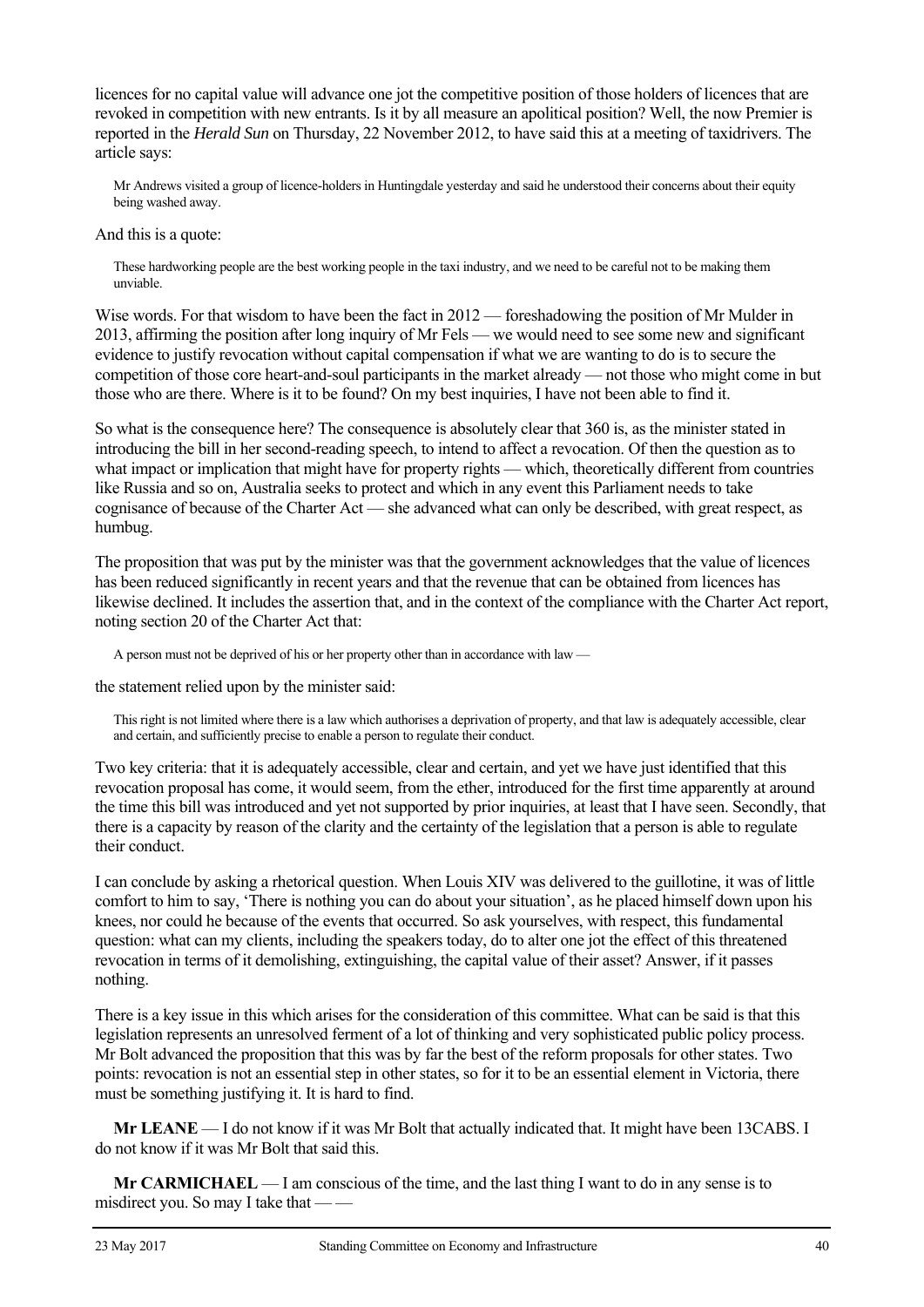licences for no capital value will advance one jot the competitive position of those holders of licences that are revoked in competition with new entrants. Is it by all measure an apolitical position? Well, the now Premier is reported in the *Herald Sun* on Thursday, 22 November 2012, to have said this at a meeting of taxidrivers. The article says:

Mr Andrews visited a group of licence-holders in Huntingdale yesterday and said he understood their concerns about their equity being washed away.

And this is a quote:

These hardworking people are the best working people in the taxi industry, and we need to be careful not to be making them unviable.

Wise words. For that wisdom to have been the fact in 2012 — foreshadowing the position of Mr Mulder in 2013, affirming the position after long inquiry of Mr Fels — we would need to see some new and significant evidence to justify revocation without capital compensation if what we are wanting to do is to secure the competition of those core heart-and-soul participants in the market already — not those who might come in but those who are there. Where is it to be found? On my best inquiries, I have not been able to find it.

So what is the consequence here? The consequence is absolutely clear that 360 is, as the minister stated in introducing the bill in her second-reading speech, to intend to affect a revocation. Of then the question as to what impact or implication that might have for property rights — which, theoretically different from countries like Russia and so on, Australia seeks to protect and which in any event this Parliament needs to take cognisance of because of the Charter Act — she advanced what can only be described, with great respect, as humbug.

The proposition that was put by the minister was that the government acknowledges that the value of licences has been reduced significantly in recent years and that the revenue that can be obtained from licences has likewise declined. It includes the assertion that, and in the context of the compliance with the Charter Act report, noting section 20 of the Charter Act that:

A person must not be deprived of his or her property other than in accordance with law —

the statement relied upon by the minister said:

This right is not limited where there is a law which authorises a deprivation of property, and that law is adequately accessible, clear and certain, and sufficiently precise to enable a person to regulate their conduct.

Two key criteria: that it is adequately accessible, clear and certain, and yet we have just identified that this revocation proposal has come, it would seem, from the ether, introduced for the first time apparently at around the time this bill was introduced and yet not supported by prior inquiries, at least that I have seen. Secondly, that there is a capacity by reason of the clarity and the certainty of the legislation that a person is able to regulate their conduct.

I can conclude by asking a rhetorical question. When Louis XIV was delivered to the guillotine, it was of little comfort to him to say, 'There is nothing you can do about your situation', as he placed himself down upon his knees, nor could he because of the events that occurred. So ask yourselves, with respect, this fundamental question: what can my clients, including the speakers today, do to alter one jot the effect of this threatened revocation in terms of it demolishing, extinguishing, the capital value of their asset? Answer, if it passes nothing.

There is a key issue in this which arises for the consideration of this committee. What can be said is that this legislation represents an unresolved ferment of a lot of thinking and very sophisticated public policy process. Mr Bolt advanced the proposition that this was by far the best of the reform proposals for other states. Two points: revocation is not an essential step in other states, so for it to be an essential element in Victoria, there must be something justifying it. It is hard to find.

**Mr LEANE** — I do not know if it was Mr Bolt that actually indicated that. It might have been 13CABS. I do not know if it was Mr Bolt that said this.

**Mr CARMICHAEL** — I am conscious of the time, and the last thing I want to do in any sense is to misdirect you. So may I take that — —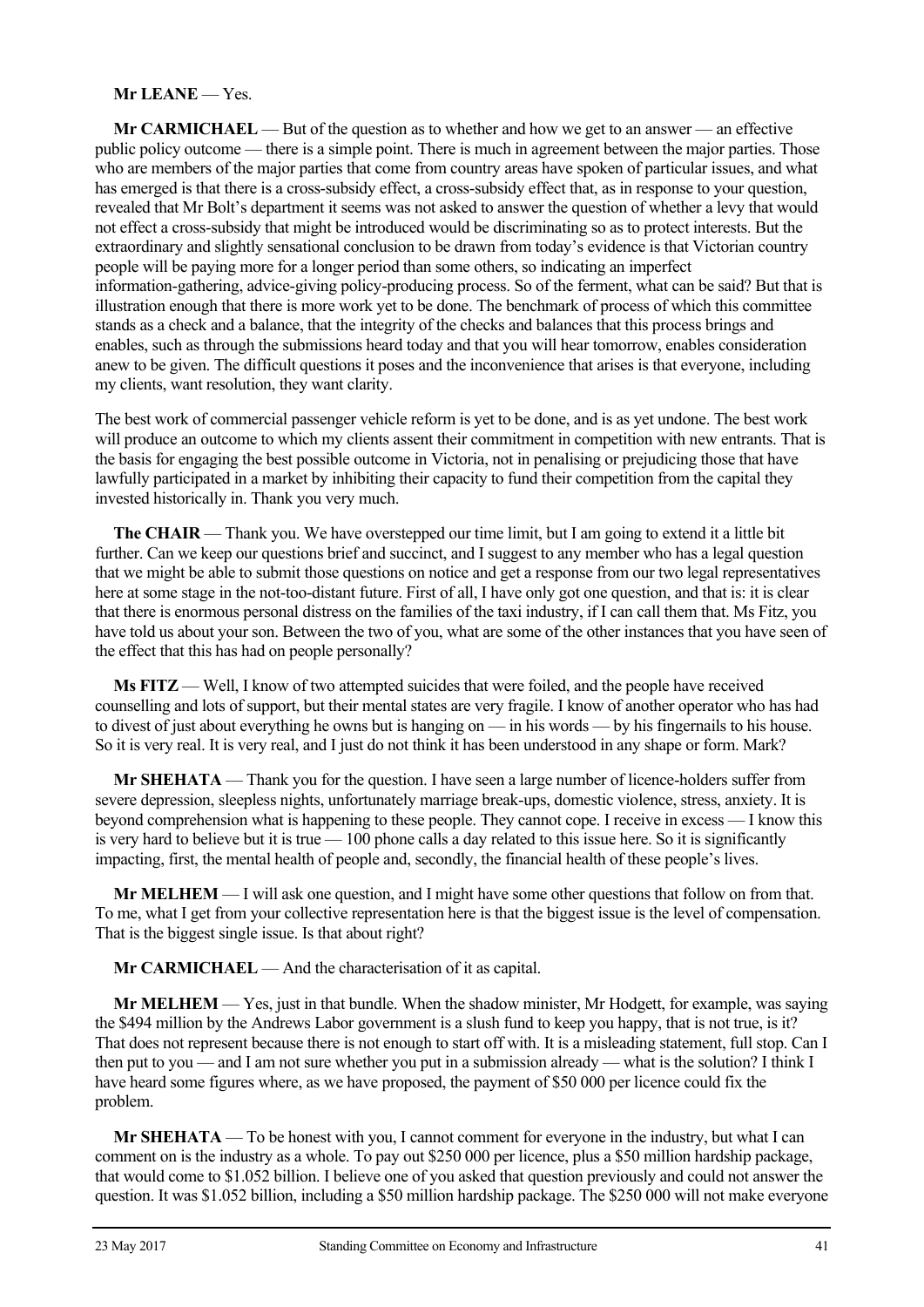#### **Mr LEANE** — Yes.

**Mr CARMICHAEL** — But of the question as to whether and how we get to an answer — an effective public policy outcome — there is a simple point. There is much in agreement between the major parties. Those who are members of the major parties that come from country areas have spoken of particular issues, and what has emerged is that there is a cross-subsidy effect, a cross-subsidy effect that, as in response to your question, revealed that Mr Bolt's department it seems was not asked to answer the question of whether a levy that would not effect a cross-subsidy that might be introduced would be discriminating so as to protect interests. But the extraordinary and slightly sensational conclusion to be drawn from today's evidence is that Victorian country people will be paying more for a longer period than some others, so indicating an imperfect information-gathering, advice-giving policy-producing process. So of the ferment, what can be said? But that is illustration enough that there is more work yet to be done. The benchmark of process of which this committee stands as a check and a balance, that the integrity of the checks and balances that this process brings and enables, such as through the submissions heard today and that you will hear tomorrow, enables consideration anew to be given. The difficult questions it poses and the inconvenience that arises is that everyone, including my clients, want resolution, they want clarity.

The best work of commercial passenger vehicle reform is yet to be done, and is as yet undone. The best work will produce an outcome to which my clients assent their commitment in competition with new entrants. That is the basis for engaging the best possible outcome in Victoria, not in penalising or prejudicing those that have lawfully participated in a market by inhibiting their capacity to fund their competition from the capital they invested historically in. Thank you very much.

**The CHAIR** — Thank you. We have overstepped our time limit, but I am going to extend it a little bit further. Can we keep our questions brief and succinct, and I suggest to any member who has a legal question that we might be able to submit those questions on notice and get a response from our two legal representatives here at some stage in the not-too-distant future. First of all, I have only got one question, and that is: it is clear that there is enormous personal distress on the families of the taxi industry, if I can call them that. Ms Fitz, you have told us about your son. Between the two of you, what are some of the other instances that you have seen of the effect that this has had on people personally?

**Ms FITZ** — Well, I know of two attempted suicides that were foiled, and the people have received counselling and lots of support, but their mental states are very fragile. I know of another operator who has had to divest of just about everything he owns but is hanging on — in his words — by his fingernails to his house. So it is very real. It is very real, and I just do not think it has been understood in any shape or form. Mark?

**Mr SHEHATA** — Thank you for the question. I have seen a large number of licence-holders suffer from severe depression, sleepless nights, unfortunately marriage break-ups, domestic violence, stress, anxiety. It is beyond comprehension what is happening to these people. They cannot cope. I receive in excess — I know this is very hard to believe but it is true — 100 phone calls a day related to this issue here. So it is significantly impacting, first, the mental health of people and, secondly, the financial health of these people's lives.

**Mr MELHEM** — I will ask one question, and I might have some other questions that follow on from that. To me, what I get from your collective representation here is that the biggest issue is the level of compensation. That is the biggest single issue. Is that about right?

**Mr CARMICHAEL** — And the characterisation of it as capital.

**Mr MELHEM** — Yes, just in that bundle. When the shadow minister, Mr Hodgett, for example, was saying the \$494 million by the Andrews Labor government is a slush fund to keep you happy, that is not true, is it? That does not represent because there is not enough to start off with. It is a misleading statement, full stop. Can I then put to you — and I am not sure whether you put in a submission already — what is the solution? I think I have heard some figures where, as we have proposed, the payment of \$50 000 per licence could fix the problem.

**Mr SHEHATA** — To be honest with you, I cannot comment for everyone in the industry, but what I can comment on is the industry as a whole. To pay out \$250 000 per licence, plus a \$50 million hardship package, that would come to \$1.052 billion. I believe one of you asked that question previously and could not answer the question. It was \$1.052 billion, including a \$50 million hardship package. The \$250 000 will not make everyone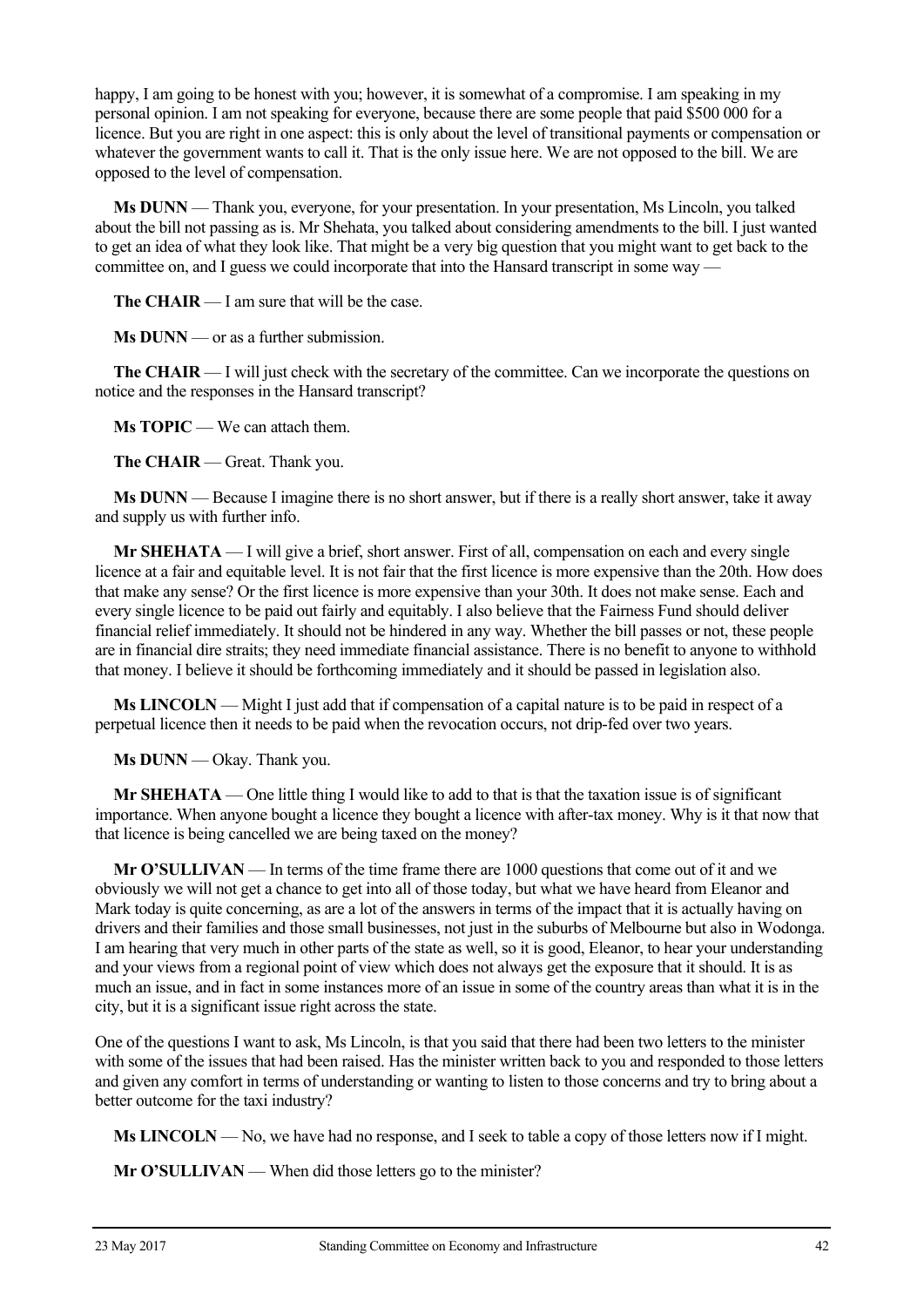happy, I am going to be honest with you; however, it is somewhat of a compromise. I am speaking in my personal opinion. I am not speaking for everyone, because there are some people that paid \$500 000 for a licence. But you are right in one aspect: this is only about the level of transitional payments or compensation or whatever the government wants to call it. That is the only issue here. We are not opposed to the bill. We are opposed to the level of compensation.

**Ms DUNN** — Thank you, everyone, for your presentation. In your presentation, Ms Lincoln, you talked about the bill not passing as is. Mr Shehata, you talked about considering amendments to the bill. I just wanted to get an idea of what they look like. That might be a very big question that you might want to get back to the committee on, and I guess we could incorporate that into the Hansard transcript in some way —

**The CHAIR** — I am sure that will be the case.

**Ms DUNN** — or as a further submission.

**The CHAIR** — I will just check with the secretary of the committee. Can we incorporate the questions on notice and the responses in the Hansard transcript?

**Ms TOPIC** — We can attach them.

**The CHAIR** — Great. Thank you.

**Ms DUNN** — Because I imagine there is no short answer, but if there is a really short answer, take it away and supply us with further info.

**Mr SHEHATA** — I will give a brief, short answer. First of all, compensation on each and every single licence at a fair and equitable level. It is not fair that the first licence is more expensive than the 20th. How does that make any sense? Or the first licence is more expensive than your 30th. It does not make sense. Each and every single licence to be paid out fairly and equitably. I also believe that the Fairness Fund should deliver financial relief immediately. It should not be hindered in any way. Whether the bill passes or not, these people are in financial dire straits; they need immediate financial assistance. There is no benefit to anyone to withhold that money. I believe it should be forthcoming immediately and it should be passed in legislation also.

**Ms LINCOLN** — Might I just add that if compensation of a capital nature is to be paid in respect of a perpetual licence then it needs to be paid when the revocation occurs, not drip-fed over two years.

**Ms DUNN** — Okay. Thank you.

**Mr SHEHATA** — One little thing I would like to add to that is that the taxation issue is of significant importance. When anyone bought a licence they bought a licence with after-tax money. Why is it that now that that licence is being cancelled we are being taxed on the money?

**Mr O'SULLIVAN** — In terms of the time frame there are 1000 questions that come out of it and we obviously we will not get a chance to get into all of those today, but what we have heard from Eleanor and Mark today is quite concerning, as are a lot of the answers in terms of the impact that it is actually having on drivers and their families and those small businesses, not just in the suburbs of Melbourne but also in Wodonga. I am hearing that very much in other parts of the state as well, so it is good, Eleanor, to hear your understanding and your views from a regional point of view which does not always get the exposure that it should. It is as much an issue, and in fact in some instances more of an issue in some of the country areas than what it is in the city, but it is a significant issue right across the state.

One of the questions I want to ask, Ms Lincoln, is that you said that there had been two letters to the minister with some of the issues that had been raised. Has the minister written back to you and responded to those letters and given any comfort in terms of understanding or wanting to listen to those concerns and try to bring about a better outcome for the taxi industry?

**Ms LINCOLN** — No, we have had no response, and I seek to table a copy of those letters now if I might.

**Mr O'SULLIVAN** — When did those letters go to the minister?